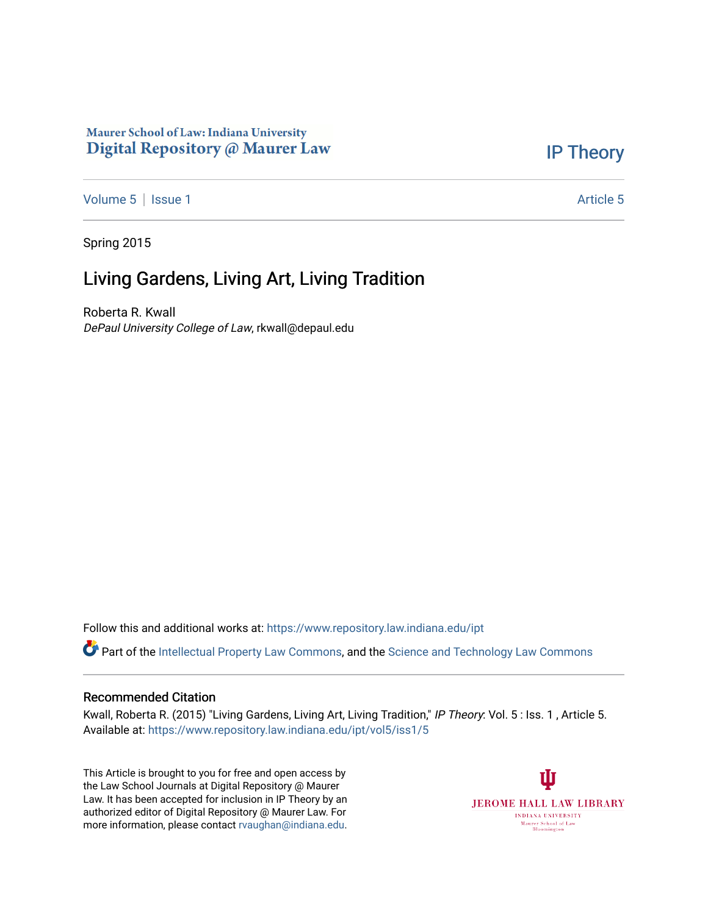### Maurer School of Law: Indiana University Digital Repository @ Maurer Law

## [IP Theory](https://www.repository.law.indiana.edu/ipt)

[Volume 5](https://www.repository.law.indiana.edu/ipt/vol5) | [Issue 1](https://www.repository.law.indiana.edu/ipt/vol5/iss1) Article 5

Spring 2015

# Living Gardens, Living Art, Living Tradition

Roberta R. Kwall DePaul University College of Law, rkwall@depaul.edu

Follow this and additional works at: [https://www.repository.law.indiana.edu/ipt](https://www.repository.law.indiana.edu/ipt?utm_source=www.repository.law.indiana.edu%2Fipt%2Fvol5%2Fiss1%2F5&utm_medium=PDF&utm_campaign=PDFCoverPages) 

Part of the [Intellectual Property Law Commons,](http://network.bepress.com/hgg/discipline/896?utm_source=www.repository.law.indiana.edu%2Fipt%2Fvol5%2Fiss1%2F5&utm_medium=PDF&utm_campaign=PDFCoverPages) and the [Science and Technology Law Commons](http://network.bepress.com/hgg/discipline/875?utm_source=www.repository.law.indiana.edu%2Fipt%2Fvol5%2Fiss1%2F5&utm_medium=PDF&utm_campaign=PDFCoverPages) 

#### Recommended Citation

Kwall, Roberta R. (2015) "Living Gardens, Living Art, Living Tradition," IP Theory: Vol. 5 : Iss. 1 , Article 5. Available at: [https://www.repository.law.indiana.edu/ipt/vol5/iss1/5](https://www.repository.law.indiana.edu/ipt/vol5/iss1/5?utm_source=www.repository.law.indiana.edu%2Fipt%2Fvol5%2Fiss1%2F5&utm_medium=PDF&utm_campaign=PDFCoverPages) 

This Article is brought to you for free and open access by the Law School Journals at Digital Repository @ Maurer Law. It has been accepted for inclusion in IP Theory by an authorized editor of Digital Repository @ Maurer Law. For more information, please contact [rvaughan@indiana.edu](mailto:rvaughan@indiana.edu).

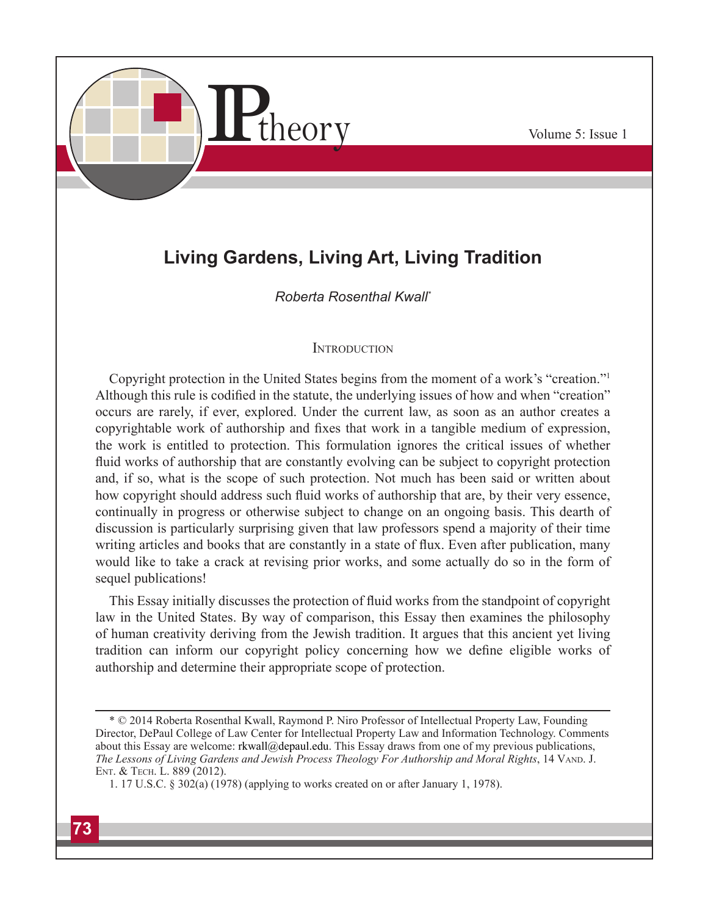

# **Living Gardens, Living Art, Living Tradition**

### *Roberta Rosenthal Kwall\**

#### **INTRODUCTION**

Copyright protection in the United States begins from the moment of a work's "creation."1 Although this rule is codified in the statute, the underlying issues of how and when "creation" occurs are rarely, if ever, explored. Under the current law, as soon as an author creates a copyrightable work of authorship and fixes that work in a tangible medium of expression, the work is entitled to protection. This formulation ignores the critical issues of whether fluid works of authorship that are constantly evolving can be subject to copyright protection and, if so, what is the scope of such protection. Not much has been said or written about how copyright should address such fluid works of authorship that are, by their very essence, continually in progress or otherwise subject to change on an ongoing basis. This dearth of discussion is particularly surprising given that law professors spend a majority of their time writing articles and books that are constantly in a state of flux. Even after publication, many would like to take a crack at revising prior works, and some actually do so in the form of sequel publications!

This Essay initially discusses the protection of fluid works from the standpoint of copyright law in the United States. By way of comparison, this Essay then examines the philosophy of human creativity deriving from the Jewish tradition. It argues that this ancient yet living tradition can inform our copyright policy concerning how we define eligible works of authorship and determine their appropriate scope of protection.

<sup>\*</sup> © 2014 Roberta Rosenthal Kwall, Raymond P. Niro Professor of Intellectual Property Law, Founding Director, DePaul College of Law Center for Intellectual Property Law and Information Technology. Comments about this Essay are welcome: rkwall@depaul.edu. This Essay draws from one of my previous publications, *The Lessons of Living Gardens and Jewish Process Theology For Authorship and Moral Rights*, 14 VAND. J. Ent. & Tech. L. 889 (2012).

<sup>1. 17</sup> U.S.C. § 302(a) (1978) (applying to works created on or after January 1, 1978).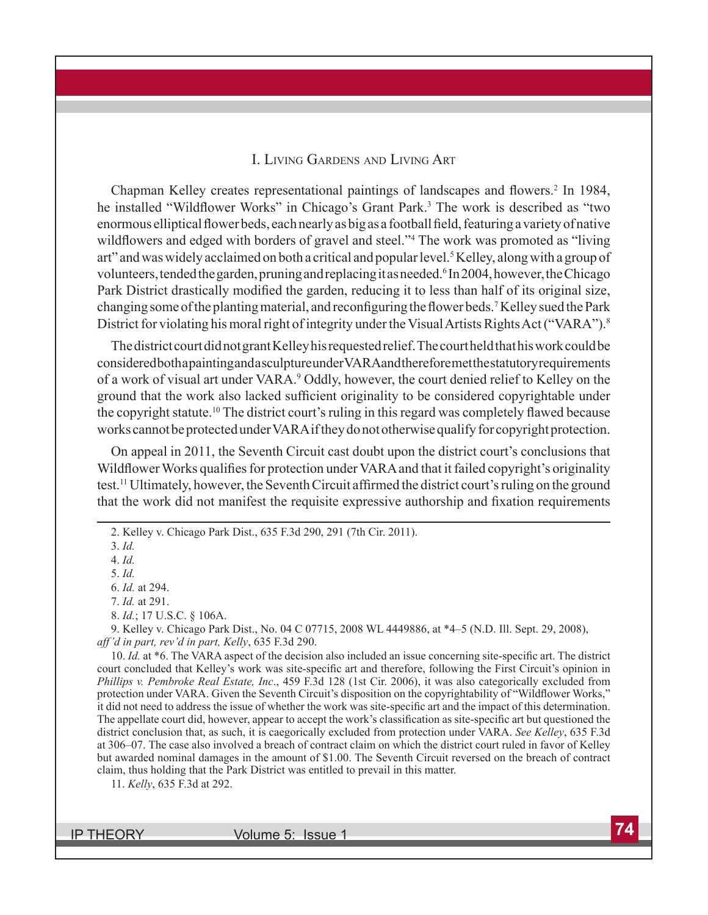#### I. Living Gardens and Living Art

Chapman Kelley creates representational paintings of landscapes and flowers.<sup>2</sup> In 1984, he installed "Wildflower Works" in Chicago's Grant Park.<sup>3</sup> The work is described as "two enormous elliptical flower beds, each nearly as big as a football field, featuring a variety of native wildflowers and edged with borders of gravel and steel."<sup>4</sup> The work was promoted as "living art" and was widely acclaimed on both a critical and popular level.<sup>5</sup> Kelley, along with a group of volunteers, tended the garden, pruning and replacing it as needed. <sup>6</sup> In 2004, however, the Chicago Park District drastically modified the garden, reducing it to less than half of its original size, changing some of the planting material, and reconfiguring the flower beds.<sup>7</sup> Kelley sued the Park District for violating his moral right of integrity under the Visual Artists Rights Act ("VARA").<sup>8</sup>

The district court did not grant Kelley his requested relief. The court held that his work could be considered both a painting and a sculpture under VARA and therefore met the statutory requirements of a work of visual art under VARA.<sup>9</sup> Oddly, however, the court denied relief to Kelley on the ground that the work also lacked sufficient originality to be considered copyrightable under the copyright statute.10 The district court's ruling in this regard was completely flawed because works cannot be protected under VARA if they do not otherwise qualify for copyright protection.

On appeal in 2011, the Seventh Circuit cast doubt upon the district court's conclusions that Wildflower Works qualifies for protection under VARA and that it failed copyright's originality test.11 Ultimately, however, the Seventh Circuit affirmed the district court's ruling on the ground that the work did not manifest the requisite expressive authorship and fixation requirements

9. Kelley v. Chicago Park Dist., No. 04 C 07715, 2008 WL 4449886, at \*4–5 (N.D. Ill. Sept. 29, 2008), *aff'd in part, rev'd in part, Kelly*, 635 F.3d 290.

10. *Id.* at \*6. The VARA aspect of the decision also included an issue concerning site-specific art. The district court concluded that Kelley's work was site-specific art and therefore, following the First Circuit's opinion in *Phillips v. Pembroke Real Estate, Inc*., 459 F.3d 128 (1st Cir. 2006), it was also categorically excluded from protection under VARA. Given the Seventh Circuit's disposition on the copyrightability of "Wildflower Works," it did not need to address the issue of whether the work was site-specific art and the impact of this determination. The appellate court did, however, appear to accept the work's classification as site-specific art but questioned the district conclusion that, as such, it is caegorically excluded from protection under VARA. *See Kelley*, 635 F.3d at 306–07. The case also involved a breach of contract claim on which the district court ruled in favor of Kelley but awarded nominal damages in the amount of \$1.00. The Seventh Circuit reversed on the breach of contract claim, thus holding that the Park District was entitled to prevail in this matter.

<sup>2.</sup> Kelley v. Chicago Park Dist., 635 F.3d 290, 291 (7th Cir. 2011).

<sup>3.</sup> *Id.*

<sup>4.</sup> *Id.*

<sup>5.</sup> *Id.*

<sup>6.</sup> *Id.* at 294.

<sup>7.</sup> *Id.* at 291.

<sup>8.</sup> *Id.*; 17 U.S.C. § 106A.

<sup>11.</sup> *Kelly*, 635 F.3d at 292.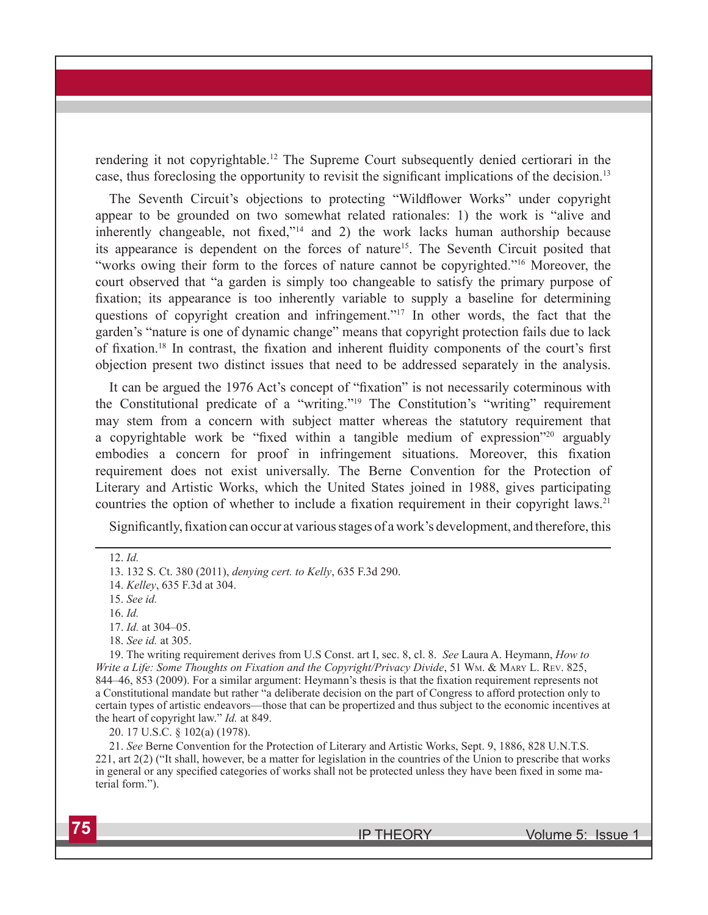rendering it not copyrightable.12 The Supreme Court subsequently denied certiorari in the case, thus foreclosing the opportunity to revisit the significant implications of the decision.<sup>13</sup>

The Seventh Circuit's objections to protecting "Wildflower Works" under copyright appear to be grounded on two somewhat related rationales: 1) the work is "alive and inherently changeable, not fixed,"14 and 2) the work lacks human authorship because its appearance is dependent on the forces of nature15. The Seventh Circuit posited that "works owing their form to the forces of nature cannot be copyrighted."16 Moreover, the court observed that "a garden is simply too changeable to satisfy the primary purpose of fixation; its appearance is too inherently variable to supply a baseline for determining questions of copyright creation and infringement."17 In other words, the fact that the garden's "nature is one of dynamic change" means that copyright protection fails due to lack of fixation.<sup>18</sup> In contrast, the fixation and inherent fluidity components of the court's first objection present two distinct issues that need to be addressed separately in the analysis.

It can be argued the 1976 Act's concept of "fixation" is not necessarily coterminous with the Constitutional predicate of a "writing."19 The Constitution's "writing" requirement may stem from a concern with subject matter whereas the statutory requirement that a copyrightable work be "fixed within a tangible medium of expression"20 arguably embodies a concern for proof in infringement situations. Moreover, this fixation requirement does not exist universally. The Berne Convention for the Protection of Literary and Artistic Works, which the United States joined in 1988, gives participating countries the option of whether to include a fixation requirement in their copyright laws.<sup>21</sup>

Significantly, fixation can occur at various stages of a work's development, and therefore, this

19. The writing requirement derives from U.S Const. art I, sec. 8, cl. 8. *See* Laura A. Heymann, *How to Write a Life: Some Thoughts on Fixation and the Copyright/Privacy Divide*, 51 Wm. & Mary L. Rev. 825, 844–46, 853 (2009). For a similar argument: Heymann's thesis is that the fixation requirement represents not a Constitutional mandate but rather "a deliberate decision on the part of Congress to afford protection only to certain types of artistic endeavors—those that can be propertized and thus subject to the economic incentives at the heart of copyright law." *Id.* at 849.

20. 17 U.S.C. § 102(a) (1978).

21. *See* Berne Convention for the Protection of Literary and Artistic Works, Sept. 9, 1886, 828 U.N.T.S. 221, art 2(2) ("It shall, however, be a matter for legislation in the countries of the Union to prescribe that works in general or any specified categories of works shall not be protected unless they have been fixed in some material form.").

<sup>12.</sup> *Id.*

<sup>13. 132</sup> S. Ct. 380 (2011), *denying cert. to Kelly*, 635 F.3d 290.

<sup>14.</sup> *Kelley*, 635 F.3d at 304.

<sup>15.</sup> *See id.*

<sup>16.</sup> *Id.*

<sup>17.</sup> *Id.* at 304–05.

<sup>18.</sup> *See id.* at 305.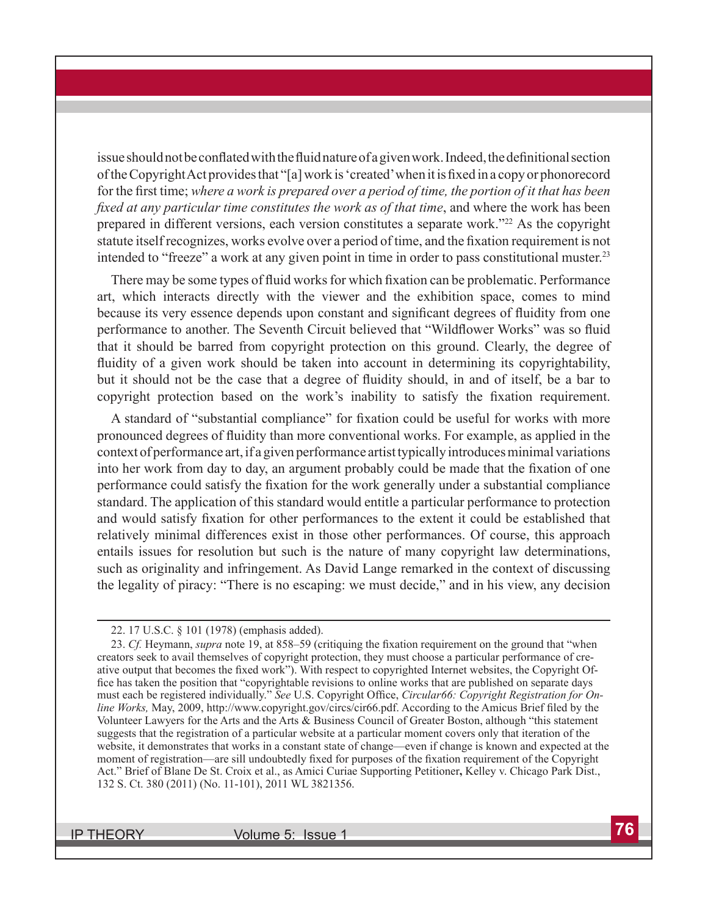issue should not be conflated with the fluid nature of a given work. Indeed, the definitional section of the Copyright Act provides that "[a] work is 'created' when it is fixed in a copy or phonorecord for the first time; *where a work is prepared over a period of time, the portion of it that has been fixed at any particular time constitutes the work as of that time*, and where the work has been prepared in different versions, each version constitutes a separate work."<sup>22</sup> As the copyright statute itself recognizes, works evolve over a period of time, and the fixation requirement is not intended to "freeze" a work at any given point in time in order to pass constitutional muster.<sup>23</sup>

There may be some types of fluid works for which fixation can be problematic. Performance art, which interacts directly with the viewer and the exhibition space, comes to mind because its very essence depends upon constant and significant degrees of fluidity from one performance to another. The Seventh Circuit believed that "Wildflower Works" was so fluid that it should be barred from copyright protection on this ground. Clearly, the degree of fluidity of a given work should be taken into account in determining its copyrightability, but it should not be the case that a degree of fluidity should, in and of itself, be a bar to copyright protection based on the work's inability to satisfy the fixation requirement.

A standard of "substantial compliance" for fixation could be useful for works with more pronounced degrees of fluidity than more conventional works. For example, as applied in the context of performance art,if a given performance artist typically introduces minimal variations into her work from day to day, an argument probably could be made that the fixation of one performance could satisfy the fixation for the work generally under a substantial compliance standard. The application of this standard would entitle a particular performance to protection and would satisfy fixation for other performances to the extent it could be established that relatively minimal differences exist in those other performances. Of course, this approach entails issues for resolution but such is the nature of many copyright law determinations, such as originality and infringement. As David Lange remarked in the context of discussing the legality of piracy: "There is no escaping: we must decide," and in his view, any decision

<sup>22. 17</sup> U.S.C. § 101 (1978) (emphasis added).

<sup>23.</sup> *Cf.* Heymann, *supra* note 19, at 858–59 (critiquing the fixation requirement on the ground that "when creators seek to avail themselves of copyright protection, they must choose a particular performance of creative output that becomes the fixed work"). With respect to copyrighted Internet websites, the Copyright Office has taken the position that "copyrightable revisions to online works that are published on separate days must each be registered individually." *See* U.S. Copyright Office, *Circular66: Copyright Registration for Online Works,* May, 2009, http://www.copyright.gov/circs/cir66.pdf. According to the Amicus Brief filed by the Volunteer Lawyers for the Arts and the Arts & Business Council of Greater Boston, although "this statement suggests that the registration of a particular website at a particular moment covers only that iteration of the website, it demonstrates that works in a constant state of change—even if change is known and expected at the moment of registration—are sill undoubtedly fixed for purposes of the fixation requirement of the Copyright Act." Brief of Blane De St. Croix et al., as Amici Curiae Supporting Petitioner**,** Kelley v. Chicago Park Dist., 132 S. Ct. 380 (2011) (No. 11-101), 2011 WL 3821356.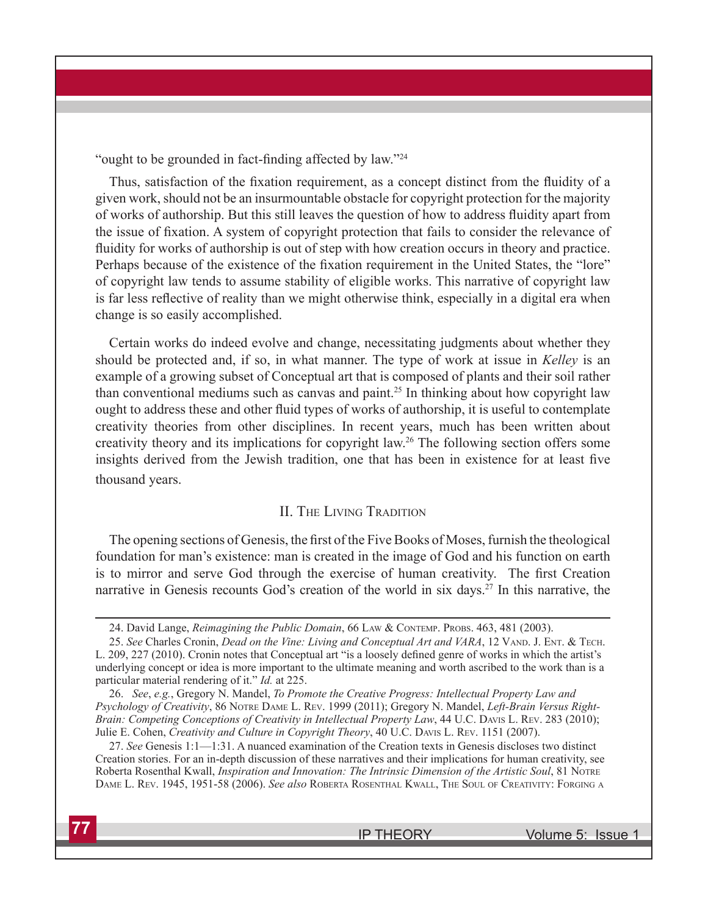"ought to be grounded in fact-finding affected by law."<sup>24</sup>

Thus, satisfaction of the fixation requirement, as a concept distinct from the fluidity of a given work, should not be an insurmountable obstacle for copyright protection for the majority of works of authorship. But this still leaves the question of how to address fluidity apart from the issue of fixation. A system of copyright protection that fails to consider the relevance of fluidity for works of authorship is out of step with how creation occurs in theory and practice. Perhaps because of the existence of the fixation requirement in the United States, the "lore" of copyright law tends to assume stability of eligible works. This narrative of copyright law is far less reflective of reality than we might otherwise think, especially in a digital era when change is so easily accomplished.

Certain works do indeed evolve and change, necessitating judgments about whether they should be protected and, if so, in what manner. The type of work at issue in *Kelley* is an example of a growing subset of Conceptual art that is composed of plants and their soil rather than conventional mediums such as canvas and paint.25 In thinking about how copyright law ought to address these and other fluid types of works of authorship, it is useful to contemplate creativity theories from other disciplines. In recent years, much has been written about creativity theory and its implications for copyright law.26 The following section offers some insights derived from the Jewish tradition, one that has been in existence for at least five thousand years.

#### II. The Living Tradition

The opening sections of Genesis, the first of the Five Books of Moses, furnish the theological foundation for man's existence: man is created in the image of God and his function on earth is to mirror and serve God through the exercise of human creativity. The first Creation narrative in Genesis recounts God's creation of the world in six days.<sup>27</sup> In this narrative, the

<sup>24.</sup> David Lange, *Reimagining the Public Domain*, 66 Law & Contemp. Probs. 463, 481 (2003).

<sup>25.</sup> See Charles Cronin, *Dead on the Vine: Living and Conceptual Art and VARA*, 12 VAND. J. ENT. & TECH. L. 209, 227 (2010). Cronin notes that Conceptual art "is a loosely defined genre of works in which the artist's underlying concept or idea is more important to the ultimate meaning and worth ascribed to the work than is a particular material rendering of it." *Id.* at 225.

<sup>26.</sup> *See*, *e.g.*, Gregory N. Mandel, *To Promote the Creative Progress: Intellectual Property Law and Psychology of Creativity*, 86 Notre Dame L. Rev. 1999 (2011); Gregory N. Mandel, *Left-Brain Versus Right-Brain: Competing Conceptions of Creativity in Intellectual Property Law*, 44 U.C. Davis L. Rev. 283 (2010); Julie E. Cohen, *Creativity and Culture in Copyright Theory*, 40 U.C. Davis L. Rev. 1151 (2007).

<sup>27.</sup> *See* Genesis 1:1—1:31. A nuanced examination of the Creation texts in Genesis discloses two distinct Creation stories. For an in-depth discussion of these narratives and their implications for human creativity, see Roberta Rosenthal Kwall, *Inspiration and Innovation: The Intrinsic Dimension of the Artistic Soul*, 81 Notre Dame L. Rev. 1945, 1951-58 (2006). *See also* Roberta Rosenthal Kwall, The Soul of Creativity: Forging <sup>a</sup>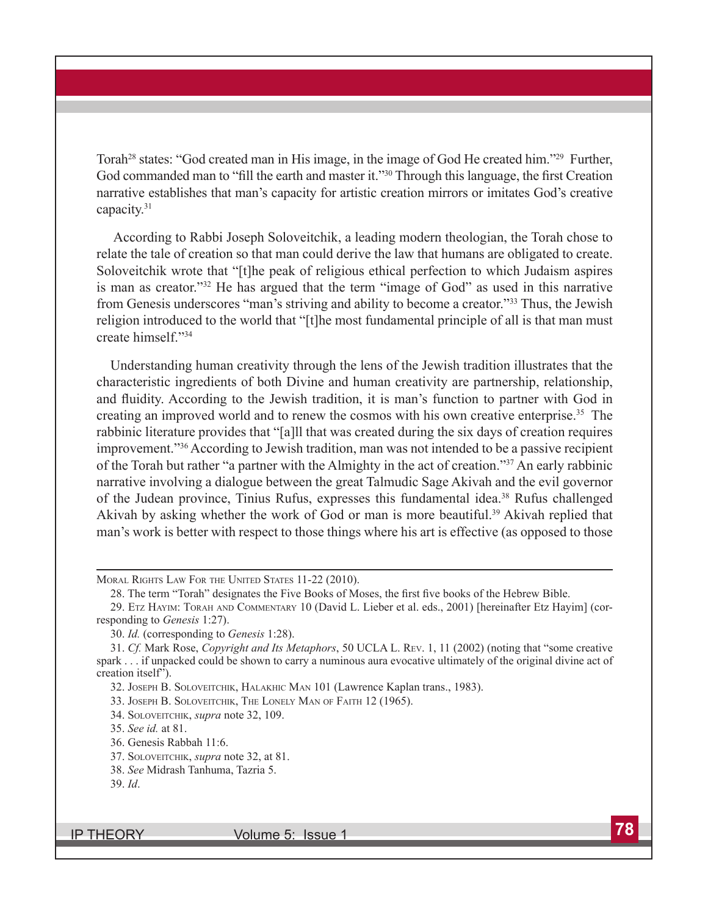Torah<sup>28</sup> states: "God created man in His image, in the image of God He created him."<sup>29</sup> Further, God commanded man to "fill the earth and master it."<sup>30</sup> Through this language, the first Creation narrative establishes that man's capacity for artistic creation mirrors or imitates God's creative capacity.31

 According to Rabbi Joseph Soloveitchik, a leading modern theologian, the Torah chose to relate the tale of creation so that man could derive the law that humans are obligated to create. Soloveitchik wrote that "[t]he peak of religious ethical perfection to which Judaism aspires is man as creator."32 He has argued that the term "image of God" as used in this narrative from Genesis underscores "man's striving and ability to become a creator."<sup>33</sup> Thus, the Jewish religion introduced to the world that "[t]he most fundamental principle of all is that man must create himself."34

Understanding human creativity through the lens of the Jewish tradition illustrates that the characteristic ingredients of both Divine and human creativity are partnership, relationship, and fluidity. According to the Jewish tradition, it is man's function to partner with God in creating an improved world and to renew the cosmos with his own creative enterprise.35 The rabbinic literature provides that "[a]ll that was created during the six days of creation requires improvement."<sup>36</sup> According to Jewish tradition, man was not intended to be a passive recipient of the Torah but rather "a partner with the Almighty in the act of creation."37 An early rabbinic narrative involving a dialogue between the great Talmudic Sage Akivah and the evil governor of the Judean province, Tinius Rufus, expresses this fundamental idea.38 Rufus challenged Akivah by asking whether the work of God or man is more beautiful.<sup>39</sup> Akivah replied that man's work is better with respect to those things where his art is effective (as opposed to those

MORAL RIGHTS LAW FOR THE UNITED STATES 11-22 (2010).

32. Joseph B. Soloveitchik, Halakhic Man 101 (Lawrence Kaplan trans., 1983).

33. Joseph B. Soloveitchik, The Lonely Man of Faith 12 (1965).

34. Soloveitchik, *supra* note 32, 109.

35. *See id.* at 81.

36. Genesis Rabbah 11:6.

37. Soloveitchik, *supra* note 32, at 81.

<sup>28.</sup> The term "Torah" designates the Five Books of Moses, the first five books of the Hebrew Bible.

<sup>29.</sup> Etz Hayim: Torah and Commentary 10 (David L. Lieber et al. eds., 2001) [hereinafter Etz Hayim] (corresponding to *Genesis* 1:27).

<sup>30.</sup> *Id.* (corresponding to *Genesis* 1:28).

<sup>31.</sup> *Cf.* Mark Rose, *Copyright and Its Metaphors*, 50 UCLA L. Rev. 1, 11 (2002) (noting that "some creative spark . . . if unpacked could be shown to carry a numinous aura evocative ultimately of the original divine act of creation itself").

<sup>38.</sup> *See* Midrash Tanhuma, Tazria 5.

<sup>39.</sup> *Id*.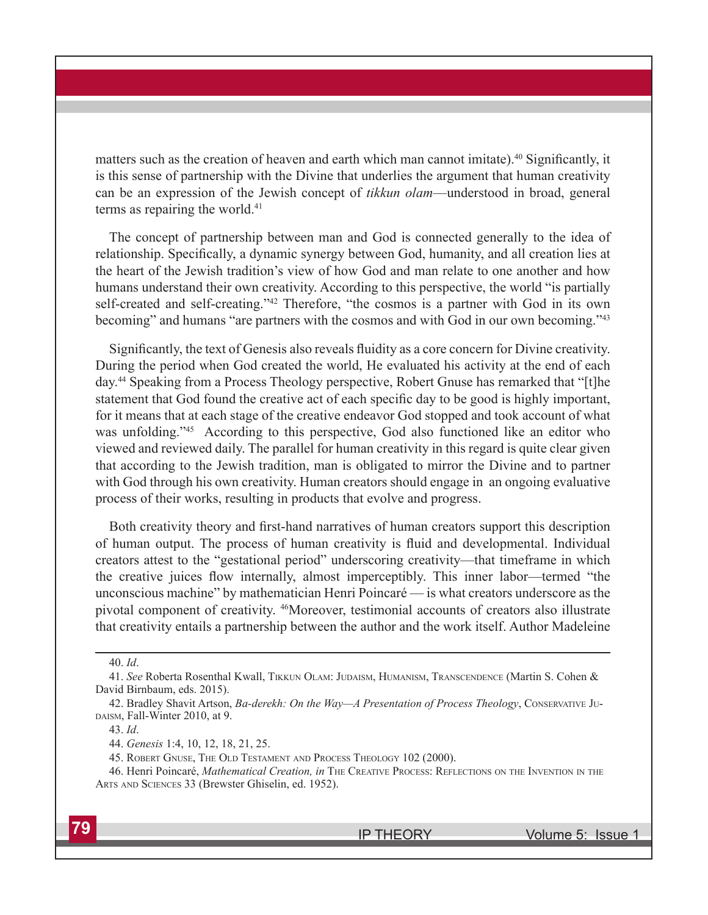matters such as the creation of heaven and earth which man cannot imitate).<sup>40</sup> Significantly, it is this sense of partnership with the Divine that underlies the argument that human creativity can be an expression of the Jewish concept of *tikkun olam*—understood in broad, general terms as repairing the world.<sup>41</sup>

The concept of partnership between man and God is connected generally to the idea of relationship. Specifically, a dynamic synergy between God, humanity, and all creation lies at the heart of the Jewish tradition's view of how God and man relate to one another and how humans understand their own creativity. According to this perspective, the world "is partially self-created and self-creating."42 Therefore, "the cosmos is a partner with God in its own becoming" and humans "are partners with the cosmos and with God in our own becoming."<sup>43</sup>

Significantly, the text of Genesis also reveals fluidity as a core concern for Divine creativity. During the period when God created the world, He evaluated his activity at the end of each day.44 Speaking from a Process Theology perspective, Robert Gnuse has remarked that "[t]he statement that God found the creative act of each specific day to be good is highly important, for it means that at each stage of the creative endeavor God stopped and took account of what was unfolding."<sup>45</sup> According to this perspective, God also functioned like an editor who viewed and reviewed daily. The parallel for human creativity in this regard is quite clear given that according to the Jewish tradition, man is obligated to mirror the Divine and to partner with God through his own creativity. Human creators should engage in an ongoing evaluative process of their works, resulting in products that evolve and progress.

Both creativity theory and first-hand narratives of human creators support this description of human output. The process of human creativity is fluid and developmental. Individual creators attest to the "gestational period" underscoring creativity—that timeframe in which the creative juices flow internally, almost imperceptibly. This inner labor—termed "the unconscious machine" by mathematician Henri Poincaré — is what creators underscore as the pivotal component of creativity. <sup>46</sup>Moreover, testimonial accounts of creators also illustrate that creativity entails a partnership between the author and the work itself. Author Madeleine

<sup>40.</sup> *Id*.

<sup>41.</sup> *See* Roberta Rosenthal Kwall, Tikkun Olam: Judaism, Humanism, Transcendence (Martin S. Cohen & David Birnbaum, eds. 2015).

<sup>42.</sup> Bradley Shavit Artson, *Ba-derekh: On the Way—A Presentation of Process Theology*, Conservative Ju-DAISM, Fall-Winter 2010, at 9.

<sup>43.</sup> *Id*.

<sup>44.</sup> *Genesis* 1:4, 10, 12, 18, 21, 25.

<sup>45.</sup> Robert Gnuse, The Old Testament and Process Theology 102 (2000).

<sup>46.</sup> Henri Poincaré, *Mathematical Creation, in* The Creative Process: Reflections on the Invention in the Arts and Sciences 33 (Brewster Ghiselin, ed. 1952).